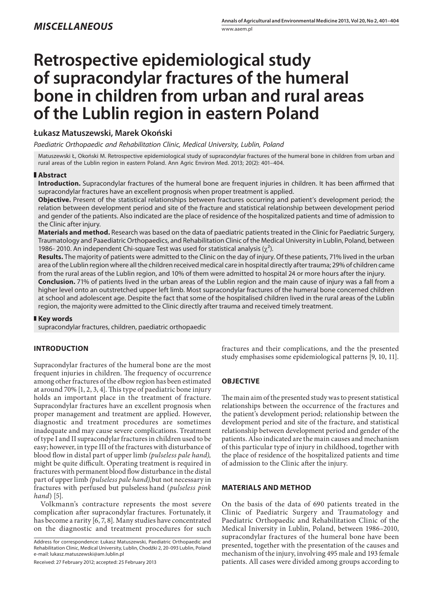# **Retrospective epidemiological study of supracondylar fractures of the humeral bone in children from urban and rural areas of the Lublin region in eastern Poland**

# **Łukasz Matuszewski, Marek Okoński**

*Paediatric Orthopaedic and Rehabilitation Clinic, Medical University, Lublin, Poland*

Matuszewski Ł, Okoński M. Retrospective epidemiological study of supracondylar fractures of the humeral bone in children from urban and rural areas of the Lublin region in eastern Poland. Ann Agric Environ Med. 2013; 20(2): 401–404.

## **Abstract**

**Introduction.** Supracondylar fractures of the humeral bone are frequent injuries in children. It has been affirmed that supracondylar fractures have an excellent prognosis when proper treatment is applied.

**Objective.** Present of the statistical relationships between fractures occurring and patient's development period; the relation between development period and site of the fracture and statistical relationship between development period and gender of the patients. Also indicated are the place of residence of the hospitalized patients and time of admission to the Clinic after injury.

**Materials and method.** Research was based on the data of paediatric patients treated in the Clinic for Paediatric Surgery, Traumatology and Paaediatric Orthopaedics, and Rehabilitation Clinic of the Medical University in Lublin, Poland, between 1986- 2010. An independent Chi-square Test was used for statistical analysis  $(\chi^2)$ .

**Results.** The majority of patients were admitted to the Clinic on the day of injury. Of these patients, 71% lived in the urban area of the Lublin region where all the children received medical care in hospital directly after trauma; 29% of children came from the rural areas of the Lublin region, and 10% of them were admitted to hospital 24 or more hours after the injury.

**Conclusion.** 71% of patients lived in the urban areas of the Lublin region and the main cause of injury was a fall from a higher level onto an outstretched upper left limb. Most supracondylar fractures of the humeral bone concerned children at school and adolescent age. Despite the fact that some of the hospitalised children lived in the rural areas of the Lublin region, the majority were admitted to the Clinic directly after trauma and received timely treatment.

## **Key words**

supracondylar fractures, children, paediatric orthopaedic

# **INTRODUCTION**

Supracondylar fractures of the humeral bone are the most frequent injuries in children. The frequency of occurrence among other fractures of the elbow region has been estimated at around 70% [1, 2, 3, 4]. This type of paediatric bone injury holds an important place in the treatment of fracture. Supracondylar fractures have an excellent prognosis when proper management and treatment are applied. However, diagnostic and treatment procedures are sometimes inadequate and may cause severe complications. Treatment of type I and II supracondylar fractures in children used to be easy; however, in type III of the fractures with disturbance of blood flow in distal part of upper limb *(pulseless pale hand),*  might be quite difficult. Operating treatment is required in fractures with permanent blood flow disturbance in the distal part of upper limb *(pulseless pale hand),*but not necessary in fractures with perfused but pulseless hand (*pulseless pink hand*) [5].

Volkmann's contracture represents the most severe complication after supracondylar fractures. Fortunately, it has become a rarity [6, 7, 8]. Many studies have concentrated on the diagnostic and treatment procedures for such

Address for correspondence: Łukasz Matuszewski, Paediatric Orthopaedic and Rehabilitation Clinic, Medical University, Lublin, Chodźki 2, 20-093 Lublin, Poland e-mail: lukasz.matuszewski@am.lublin.pl

Received: 27 February 2012; accepted: 25 February 2013

fractures and their complications, and the the presented study emphasises some epidemiological patterns [9, 10, 11].

# **OBJECTIVE**

The main aim of the presented study was to present statistical relationships between the occurrence of the fractures and the patient's development period; relationship between the development period and site of the fracture, and statistical relationship between development period and gender of the patients. Also indicated are the main causes and mechanism of this particular type of injury in childhood, together with the place of residence of the hospitalized patients and time of admission to the Clinic after the injury.

## **MATERIALS AND METHOD**

On the basis of the data of 690 patients treated in the Clinic of Paediatric Surgery and Traumatology and Paediatric Orthopaedic and Rehabilitation Clinic of the Medical Iniversity in Lublin, Poland, between 1986–2010, supracondylar fractures of the humeral bone have been presented, together with the presentation of the causes and mechanism of the injury, involving 495 male and 193 female patients. All cases were divided among groups according to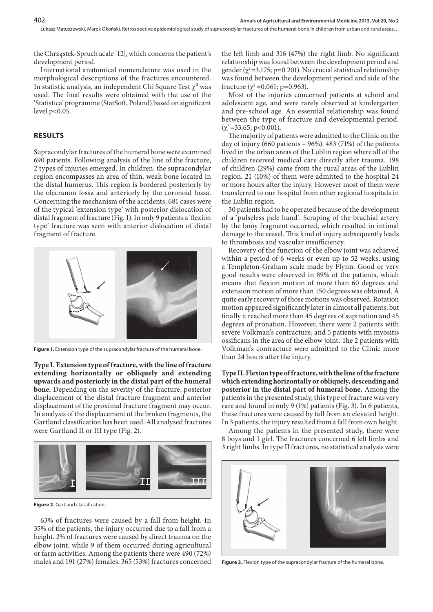the Chrząstek-Spruch acale [12], which concerns the patient's development period.

International anatomical nomenclature was used in the morphological descriptions of the fractures encountered. In statistic analysis, an independent Chi Square Test  $\chi^2$  was used. The final results were obtained with the use of the 'Statistica' programme (StatSoft, Poland) based on significant level p<0.05.

#### **RESULTS**

402

Supracondylar fractures of the humeral bone were examined 690 patients. Following analysis of the line of the fracture, 2 types of injuries emerged. In children, the supracondylar region encompasses an area of thin, weak bone located in the distal humerus. This region is bordered posteriorly by the olecranon fossa and anteriorly by the coronoid fossa. Concerning the mechanism of the accidents, 681 cases were of the typical 'extension type' with posterior dislocation of distal fragment of fracture (Fig. 1). In only 9 patients a 'flexion type' fracture was seen with anterior dislocation of distal fragment of fracture.



**Figure 1.** Extension type of the supracondylar fracture of the humeral bone.

**Type I. Extension type of fracture, with the line of fracture extending horizontally or obliquely and extending upwards and posteriorly in the distal part of the humeral bone.** Depending on the severity of the fracture, posterior displacement of the distal fracture fragment and anterior displacement of the proximal fracture fragment may occur. In analysis of the displacement of the broken fragments, the Gartland classification has been used. All analysed fractures were Gartland II or III type (Fig. 2).



Figure 2. Gartland classification.

63% of fractures were caused by a fall from height. In 35% of the patients, the injury occurred due to a fall from a height. 2% of fractures were caused by direct trauma on the elbow joint, while 9 of them occurred during agricultural or farm activities. Among the patients there were 490 (72%) males and 191 (27%) females. 365 (53%) fractures concerned

the left limb and 316 (47%) the right limb. No significant relationship was found between the development period and gender ( $\chi^2$ =3.175; p=0.201). No crucial statistical relationship was found between the development period and side of the fracture ( $\chi^2$ =0.061; p=0.963).

Most of the injuries concerned patients at school and adolescent age, and were rarely observed at kindergarten and pre-school age. An essential relationship was found between the type of fracture and developmental period.  $(\chi^2 = 33.65; \, \text{p} < 0.001).$ 

The majority of patients were admitted to the Clinic on the day of injury (660 patients – 96%). 483 (71%) of the patients lived in the urban areas of the Lublin region where all of the children received medical care directly after trauma. 198 of children (29%) came from the rural areas of the Lublin region. 21 (10%) of them were admitted to the hospital 24 or more hours after the injury. However most of them were transferred to our hospital from other regional hospitals in the Lublin region.

30 patients had to be operated because of the development of a 'pulseless pale hand'. Scraping of the brachial artery by the bony fragment occurred, which resulted in intimal damage to the vessel. This kind of injury subsequently leads to thrombosis and vascular insufficiency.

Recovery of the function of the elbow joint was achieved within a period of 6 weeks or even up to 52 weeks, using a Templeton-Graham scale made by Flynn. Good or very good results were observed in 89% of the patients, which means that flexion motion of more than 60 degrees and extension motion of more than 150 degrees was obtained. A quite early recovery of those motions was observed. Rotation motion appeared significantly later in almost all patients, but finally it reached more than 45 degrees of supination and 45 degrees of pronation. However, there were 2 patients with severe Volkman's contracture, and 5 patients with myositis ossificans in the area of the elbow joint. The 2 patients with Volkman's contracture were admitted to the Clinic more than 24 hours after the injury.

**Type II. Flexion type of fracture, with the line of the fracture which extending horizontally or obliquely, descending and posterior in the distal part of humeral bone.** Among the patients in the presented study, this type of fracture was very rare and found in only 9 (1%) patients (Fig. 3). In 6 patients, these fractures were caused by fall from an elevated height. In 3 patients, the injury resulted from a fall from own height.

Among the patients in the presented study, there were 8 boys and 1 girl. The fractures concerned 6 left limbs and 3 right limbs. In type II fractures, no statistical analysis were



**Figure 3.** Flexion type of the supracondylar fracture of the humeral bone.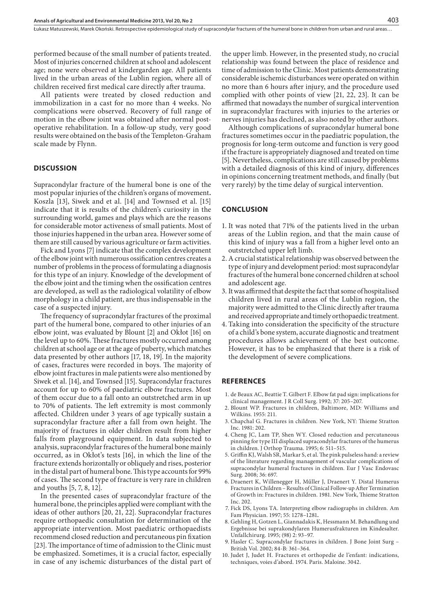performed because of the small number of patients treated. Most of injuries concerned children at school and adolescent age; none were observed at kindergarden age. All patients lived in the urban areas of the Lublin region, where all of children received first medical care directly after trauma.

All patients were treated by closed reduction and immobilization in a cast for no more than 4 weeks. No complications were observed. Recovery of full range of motion in the elbow joint was obtained after normal postoperative rehabilitation. In a follow-up study, very good results were obtained on the basis of the Templeton-Graham scale made by Flynn.

#### **DISCUSSION**

Supracondylar fracture of the humeral bone is one of the most popular injuries of the children's organs of movement**.** Koszla [13], Siwek and et al. [14] and Townsed et al. [15] indicate that it is results of the children's curiosity in the surrounding world, games and plays which are the reasons for considerable motor activeness of small patients. Most of those injuries happened in the urban area. However some of them are still caused by various agriculture or farm activities.

Fick and Lyons [7] indicate that the complex development of the elbow joint with numerous ossification centres creates a number of problems in the process of formulating a diagnosis for this type of an injury. Knowledge of the development of the elbow joint and the timing when the ossification centres are developed, as well as the radiological volatility of elbow morphology in a child patient, are thus indispensable in the case of a suspected injury.

The frequency of supracondylar fractures of the proximal part of the humeral bone, compared to other injuries of an elbow joint, was evaluated by Blount [2] and Okłot [16] on the level up to 60%. These fractures mostly occurred among children at school age or at the age of puberty, which matches data presented by other authors [17, 18, 19]. In the majority of cases, fractures were recorded in boys. The majority of elbow joint fractures in male patients were also mentioned by Siwek et al. [14], and Townsed [15]. Supracondylar fractures account for up to 60% of paediatric elbow fractures. Most of them occur due to a fall onto an outstretched arm in up to 70% of patients. The left extremity is most commonly affected. Children under 3 years of age typically sustain a supracondylar fracture after a fall from own height. The majority of fractures in older children result from higher falls from playground equipment. In data subjected to analysis, supracondylar fractures of the humeral bone mainly occurred, as in Okłot's tests [16], in which the line of the fracture extends horizontally or obliquely and rises, posterior in the distal part of humeral bone. This type accounts for 99% of cases. The second type of fracture is very rare in children and youths [5, 7, 8, 12].

In the presented cases of supracondylar fracture of the humeral bone, the principles applied were compliant with the ideas of other authors [20, 21, 22]. Supracondylar fractures require orthopaedic consultation for determination of the appropriate intervention. Most paediatric orthopaedists recommend closed reduction and percutaneous pin fixation [23]. The importance of time of admission to the Clinic must be emphasized. Sometimes, it is a crucial factor, especially in case of any ischemic disturbances of the distal part of the upper limb. However, in the presented study, no crucial relationship was found between the place of residence and time of admission to the Clinic. Most patients demonstrating considerable ischemic disturbances were operated on within no more than 6 hours after injury, and the procedure used complied with other points of view [21, 22, 23]. It can be affirmed that nowadays the number of surgical intervention in supracondylar fractures with injuries to the arteries or nerves injuries has declined, as also noted by other authors.

Although complications of supracondylar humeral bone fractures sometimes occur in the paediatric population, the prognosis for long-term outcome and function is very good if the fracture is appropriately diagnosed and treated on time [5]. Nevertheless, complications are still caused by problems with a detailed diagnosis of this kind of injury, differences in opinions concerning treatment methods, and finally (but very rarely) by the time delay of surgical intervention.

#### **CONCLUSION**

- 1. It was noted that 71% of the patients lived in the urban areas of the Lublin region, and that the main cause of this kind of injury was a fall from a higher level onto an outstretched upper left limb.
- 2.A crucial statistical relationship was observed between the type of injury and development period: most supracondylar fractures of the humeral bone concerned children at school and adolescent age.
- 3. It was affirmed that despite the fact that some of hospitalised children lived in rural areas of the Lublin region, the majority were admitted to the Clinic directly after trauma and received appropriate and timely orthopaedic treatment.
- 4. Taking into consideration the specificity of the structure of a child's bone system, accurate diagnostic and treatment procedures allows achievement of the best outcome. However, it has to be emphasized that there is a risk of the development of severe complications.

#### **REFERENCES**

- 1. de Beaux AC, Beattie T. Gilbert F. Elbow fat pad sign: implications for clinical management. J R Coll Surg. 1992; 37: 205–207.
- 2. Blount WP. Fractures in children, Baltimore, MD: Williams and Wilkins. 1955: 211.
- 3. Chapchal G. Fractures in children*.* New York, NY: Thieme Stratton Inc. 1981: 202.
- 4. Cheng JC, Lam TP, Shen WY. Closed reduction and percutaneous pinning for type III displaced supracondylar fractures of the humerus in children. J Orthop Trauma. 1995; 6: 511–515.
- 5. Griffin KJ, Walsh SR, Markar S, et al. The pink pulseless hand: a review of the literature regarding management of vascular complications of supracondylar humeral fractures in children. Eur J Vasc Endovasc Surg. 2008; 36: 697.
- 6. Draenert K, Willenegger H, Műller J, Draenert Y. Distal Humerus Fractures in Children – Results of Clinical Follow-up After Termination of Growth in: Fractures in children. 1981. New York, Thieme Stratton Inc. 202.
- 7. Fick DS, Lyons TA. Interpreting elbow radiographs in children. Am Fam Physician. 1997; 55: 1278–1281**.**
- 8. Gehling H, Gotzen L, Giannadakis K, Hessmann M. Behandlung und Ergebnisse bei suprakondylaren Humerusfrakturen im Kindesalter. Unfallchirurg. 1995; (98) 2: 93–97.
- 9. Hasler C. Supracondylar fractures in children. J Bone Joint Surg British Vol. 2002; 84-B: 361–364.
- 10. Judet J, Judet H. Fractures et orthopedie de l'enfant: indications, techniques, voies d'abord. 1974. Paris. Maloine. 3042.